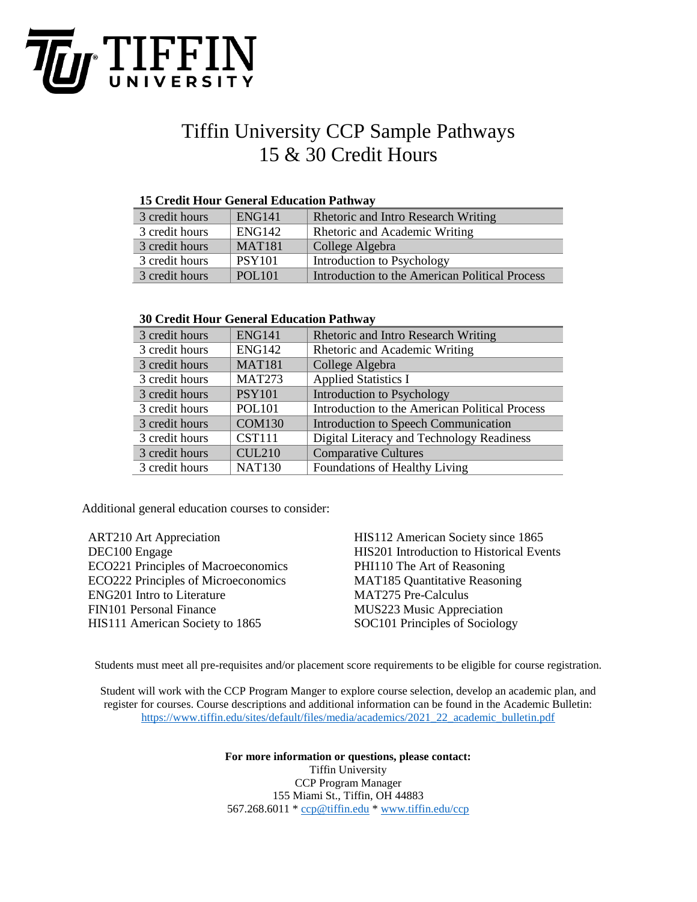

## Tiffin University CCP Sample Pathways 15 & 30 Credit Hours

## **15 Credit Hour General Education Pathway**

| 3 credit hours | <b>ENG141</b> | <b>Rhetoric and Intro Research Writing</b>     |
|----------------|---------------|------------------------------------------------|
| 3 credit hours | ENG142        | Rhetoric and Academic Writing                  |
| 3 credit hours | <b>MAT181</b> | College Algebra                                |
| 3 credit hours | <b>PSY101</b> | Introduction to Psychology                     |
| 3 credit hours | <b>POL101</b> | Introduction to the American Political Process |

## **30 Credit Hour General Education Pathway**

| 3 credit hours | <b>ENG141</b> | <b>Rhetoric and Intro Research Writing</b>     |  |  |
|----------------|---------------|------------------------------------------------|--|--|
| 3 credit hours | <b>ENG142</b> | Rhetoric and Academic Writing                  |  |  |
| 3 credit hours | <b>MAT181</b> | College Algebra                                |  |  |
| 3 credit hours | <b>MAT273</b> | <b>Applied Statistics I</b>                    |  |  |
| 3 credit hours | <b>PSY101</b> | Introduction to Psychology                     |  |  |
| 3 credit hours | <b>POL101</b> | Introduction to the American Political Process |  |  |
| 3 credit hours | <b>COM130</b> | Introduction to Speech Communication           |  |  |
| 3 credit hours | <b>CST111</b> | Digital Literacy and Technology Readiness      |  |  |
| 3 credit hours | <b>CUL210</b> | <b>Comparative Cultures</b>                    |  |  |
| 3 credit hours | <b>NAT130</b> | Foundations of Healthy Living                  |  |  |

Additional general education courses to consider:

| <b>ART210 Art Appreciation</b>             | HIS112 American Society since 1865       |
|--------------------------------------------|------------------------------------------|
| DEC100 Engage                              | HIS201 Introduction to Historical Events |
| <b>ECO221 Principles of Macroeconomics</b> | PHI110 The Art of Reasoning              |
| <b>ECO222 Principles of Microeconomics</b> | <b>MAT185 Quantitative Reasoning</b>     |
| <b>ENG201</b> Intro to Literature          | <b>MAT275 Pre-Calculus</b>               |
| <b>FIN101 Personal Finance</b>             | MUS223 Music Appreciation                |
| HIS111 American Society to 1865            | SOC101 Principles of Sociology           |
|                                            |                                          |

Students must meet all pre-requisites and/or placement score requirements to be eligible for course registration.

Student will work with the CCP Program Manger to explore course selection, develop an academic plan, and register for courses. Course descriptions and additional information can be found in the Academic Bulletin: [https://www.tiffin.edu/sites/default/files/media/academics/2021\\_22\\_academic\\_bulletin.pdf](https://www.tiffin.edu/sites/default/files/media/academics/2021_22_academic_bulletin.pdf)

> **For more information or questions, please contact:** Tiffin University CCP Program Manager 155 Miami St., Tiffin, OH 44883 567.268.6011 [\\* ccp@tiffin.edu](mailto:ccp@tiffin.edu) [\\* www.tiffin.edu/ccp](http://www.tiffin.edu/ccp)